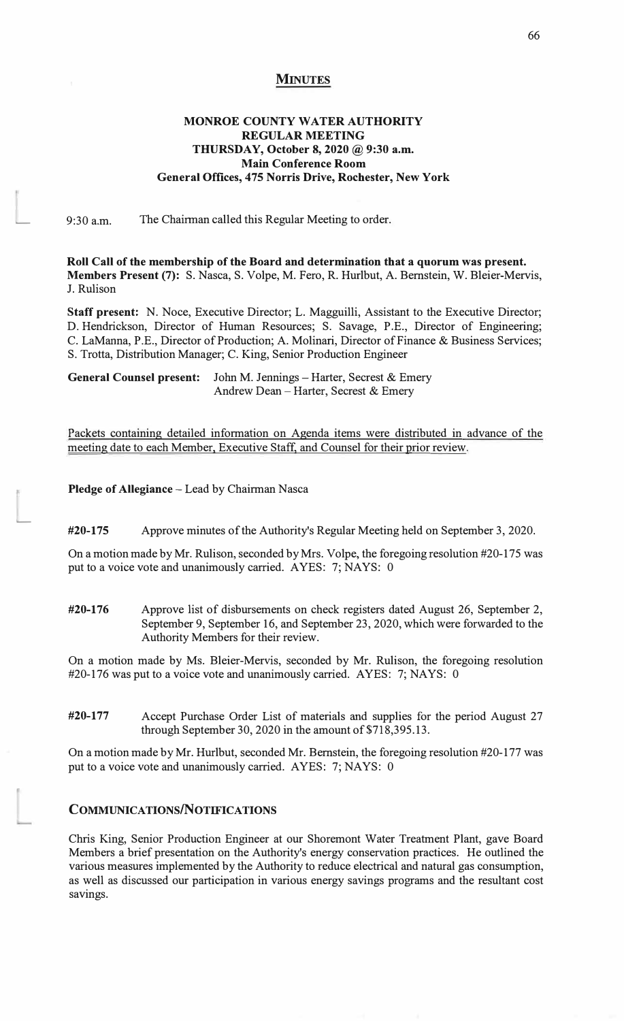#### **MINUTES**

## **MONROE COUNTY WATER AUTHORITY REGULAR MEETING**  THURSDAY, October 8, 2020 @ 9:30 a.m. **Main Conference Room General Offices, 475 Norris Drive, Rochester, New York**

9:30 a.m. The Chairman called this Regular Meeting to order.

�

L.

**Roll Call of the membership of the Board and determination that a quorum was present. Members Present** (7): S. Nasca, S. Volpe, M. Fero, R. Hurlbut, A. Bernstein, W. Bleier-Mervis, J. Rulison

**Staff present:** N. Noce, Executive Director; L. Magguilli, Assistant to the Executive Director; D. Hendrickson, Director of Human Resources; S. Savage, P.E., Director of Engineering; C. LaManna, P.E., Director of Production; A. Molinari, Director of Finance & Business Services; S. Trotta, Distribution Manager; C. King, Senior Production Engineer

**General Counsel present:** John M. Jennings - Harter, Secrest & Emery Andrew Dean - Harter, Secrest & Emery

Packets containing detailed information on Agenda items were distributed in advance of the meeting date to each Member. Executive Staff, and Counsel for their prior review.

**Pledge of Allegiance - Lead by Chairman Nasca** 

**#20-175** Approve minutes of the Authority's Regular Meeting held on September 3, 2020.

On a motion made by Mr. Rulison, seconded by Mrs. Volpe, the foregoing resolution #20-175 was put to a voice vote and unanimously carried. AYES: 7; NAYS: 0

**#20-176** Approve list of disbursements on check registers dated August 26, September 2, September 9, September 16, and September 23, 2020, which were forwarded to the Authority Members for their review.

On a motion made by Ms. Bleier-Mervis, seconded by Mr. Rulison, the foregoing resolution #20-176 was put to a voice vote and unanimously carried. AYES: 7; NAYS: 0

**#20-177** Accept Purchase Order List of materials and supplies for the period August 27 through September 30, 2020 in the amount of \$718,395.13.

On a motion made by Mr. Hurlbut, seconded Mr. Bernstein, the foregoing resolution #20-177 was put to a voice vote and unanimously carried. AYES: 7; NAYS: 0

# **COMMUNICATIONS/NOTIFICATIONS**

Chris King, Senior Production Engineer at our Shoremont Water Treatment Plant, gave Board Members a brief presentation on the Authority's energy conservation practices. He outlined the various measures implemented by the Authority to reduce electrical and natural gas consumption, as well as discussed our participation in various energy savings programs and the resultant cost savings.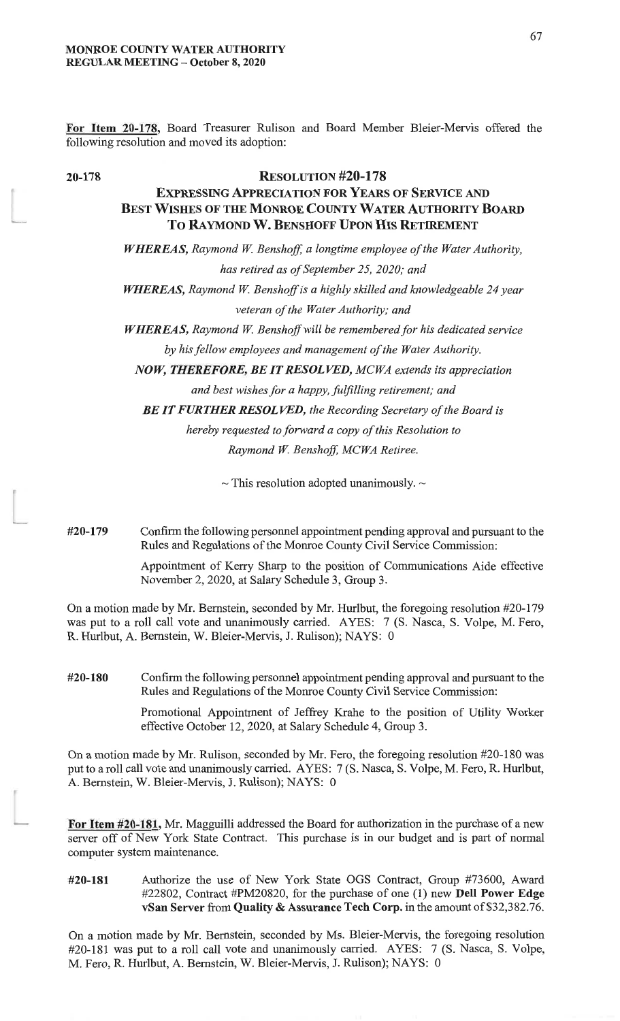For Item 20-178, Board Treasurer Rulison and Board Member Bleier-Mervis offered the following resolution and moved its adoption:

20-178

# **RESOLUTION #20-178**

# **EXPRESSING APPRECIATION FOR YEARS OF SERVICE AND BEST WISHES OF THE MONROE COUNTY WATER AUTHORITY BOARD** TO RAYMOND W. BENSHOFF UPON HIS RETIREMENT

**WHEREAS, Raymond W. Benshoff, a longtime employee of the Water Authority,** 

has retired as of September 25, 2020; and

WHEREAS, Raymond W. Benshoff is a highly skilled and knowledgeable 24 year veteran of the Water Authority; and

WHEREAS, Raymond W. Benshoff will be remembered for his dedicated service by his fellow employees and management of the Water Authority.

NOW, THEREFORE, BE IT RESOLVED, MCWA extends its appreciation

and best wishes for a happy, fulfilling retirement; and

BE IT FURTHER RESOLVED, the Recording Secretary of the Board is

hereby requested to forward a copy of this Resolution to Raymond W. Benshoff, MCWA Retiree.

 $\sim$  This resolution adopted unanimously.  $\sim$ 

#20-179 Confirm the following personnel appointment pending approval and pursuant to the Rules and Regulations of the Monroe County Civil Service Commission:

> Appointment of Kerry Sharp to the position of Communications Aide effective November 2, 2020, at Salary Schedule 3, Group 3.

On a motion made by Mr. Bernstein, seconded by Mr. Hurlbut, the foregoing resolution #20-179 was put to a roll call vote and unanimously carried. AYES: 7 (S. Nasca, S. Volpe, M. Fero, R. Hurlbut, A. Bernstein, W. Bleier-Mervis, J. Rulison); NAYS: 0

#20-180 Confirm the following personnel appointment pending approval and pursuant to the Rules and Regulations of the Monroe County Civil Service Commission:

> Promotional Appointment of Jeffrey Krahe to the position of Utility Worker effective October 12, 2020, at Salary Schedule 4, Group 3.

On a motion made by Mr. Rulison, seconded by Mr. Fero, the foregoing resolution #20-180 was put to a roll call vote and unanimously carried. AYES: 7 (S. Nasca, S. Volpe, M. Fero, R. Hurlbut, A. Bernstein, W. Bleier-Mervis, J. Rulison); NAYS: 0

For Item #20-181, Mr. Magguilli addressed the Board for authorization in the purchase of a new server off of New York State Contract. This purchase is in our budget and is part of normal computer system maintenance.

Authorize the use of New York State OGS Contract, Group #73600, Award #20-181 #22802, Contract #PM20820, for the purchase of one (1) new Dell Power Edge vSan Server from Quality & Assurance Tech Corp. in the amount of \$32,382.76.

On a motion made by Mr. Bernstein, seconded by Ms. Bleier-Mervis, the foregoing resolution #20-181 was put to a roll call vote and unanimously carried. AYES: 7 (S. Nasca, S. Volpe, M. Fero, R. Hurlbut, A. Bernstein, W. Bleier-Mervis, J. Rulison); NAYS: 0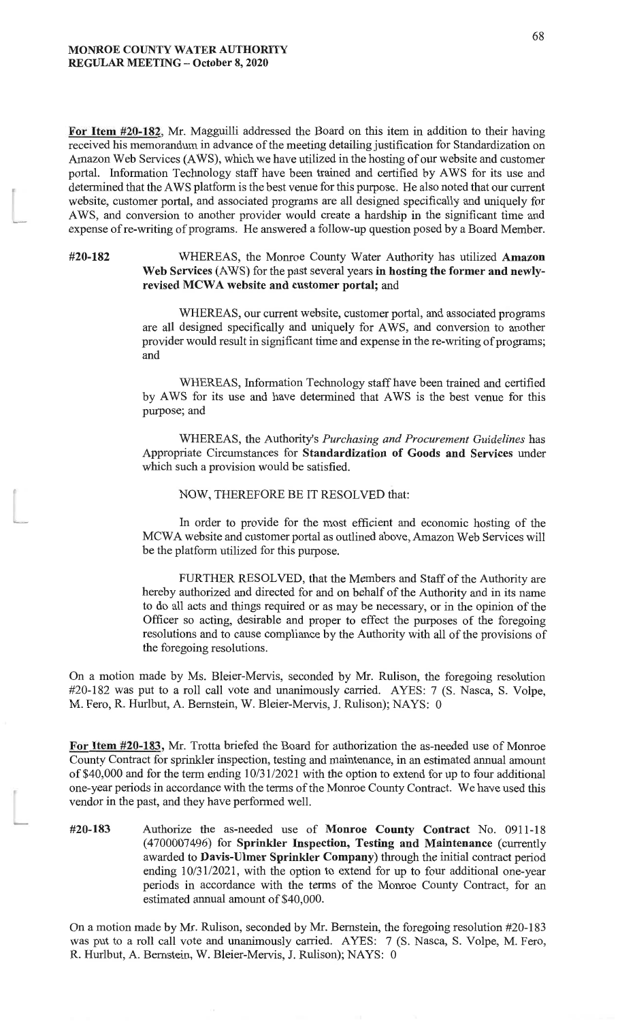For Item #20-182, Mr. Magguilli addressed the Board on this item in addition to their having received his memorandum in advance of the meeting detailing justification for Standardization on Amazon Web Services (AWS), which we have utilized in the hosting of our website and customer portal. Information Technology staff have been trained and certified by AWS for its use and determined that the AWS platform is the best venue for this purpose. He also noted that our current website, customer portal, and associated programs are all designed specifically and uniquely for AWS, and conversion to another provider would create a hardship in the significant time and expense of re-writing of programs. He answered a follow-up question posed by a Board Member.

#20-182

#### WHEREAS, the Monroe County Water Authority has utilized Amazon Web Services (AWS) for the past several years in hosting the former and newlyrevised MCWA website and customer portal; and

WHEREAS, our current website, customer portal, and associated programs are all designed specifically and uniquely for AWS, and conversion to another provider would result in significant time and expense in the re-writing of programs; and

WHEREAS, Information Technology staff have been trained and certified by AWS for its use and have determined that AWS is the best venue for this purpose; and

WHEREAS, the Authority's Purchasing and Procurement Guidelines has Appropriate Circumstances for Standardization of Goods and Services under which such a provision would be satisfied.

#### NOW, THEREFORE BE IT RESOLVED that:

In order to provide for the most efficient and economic hosting of the MCWA website and customer portal as outlined above, Amazon Web Services will be the platform utilized for this purpose.

FURTHER RESOLVED, that the Members and Staff of the Authority are hereby authorized and directed for and on behalf of the Authority and in its name to do all acts and things required or as may be necessary, or in the opinion of the Officer so acting, desirable and proper to effect the purposes of the foregoing resolutions and to cause compliance by the Authority with all of the provisions of the foregoing resolutions.

On a motion made by Ms. Bleier-Mervis, seconded by Mr. Rulison, the foregoing resolution #20-182 was put to a roll call vote and unanimously carried. AYES: 7 (S. Nasca, S. Volpe, M. Fero, R. Hurlbut, A. Bernstein, W. Bleier-Mervis, J. Rulison); NAYS: 0

For Item #20-183, Mr. Trotta briefed the Board for authorization the as-needed use of Monroe County Contract for sprinkler inspection, testing and maintenance, in an estimated annual amount of \$40,000 and for the term ending 10/31/2021 with the option to extend for up to four additional one-year periods in accordance with the terms of the Monroe County Contract. We have used this vendor in the past, and they have performed well.

#20-183 Authorize the as-needed use of Monroe County Contract No. 0911-18 (4700007496) for Sprinkler Inspection, Testing and Maintenance (currently awarded to Davis-Ulmer Sprinkler Company) through the initial contract period ending  $10/31/2021$ , with the option to extend for up to four additional one-year periods in accordance with the terms of the Monroe County Contract, for an estimated annual amount of \$40,000.

On a motion made by Mr. Rulison, seconded by Mr. Bernstein, the foregoing resolution #20-183 was put to a roll call vote and unanimously carried. AYES: 7 (S. Nasca, S. Volpe, M. Fero, R. Hurlbut, A. Bernstein, W. Bleier-Mervis, J. Rulison); NAYS: 0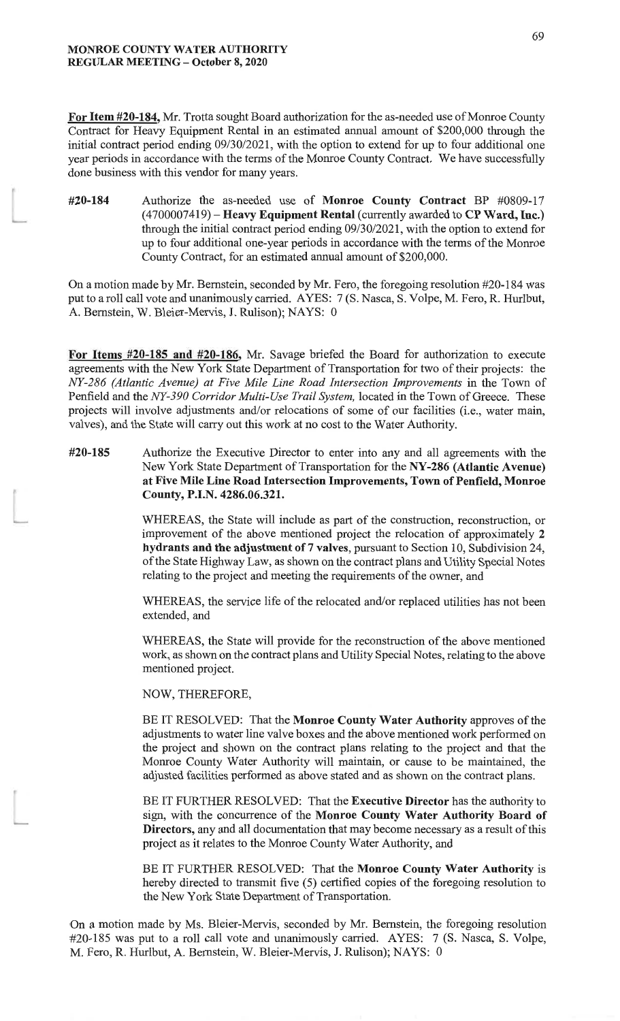For Item #20-184, Mr. Trotta sought Board authorization for the as-needed use of Monroe County Contract for Heavy Equipment Rental in an estimated annual amount of \$200,000 through the initial contract period ending 09/30/2021, with the option to extend for up to four additional one year periods in accordance with the terms of the Monroe County Contract. We have successfully done business with this vendor for many years.

Authorize the as-needed use of Monroe County Contract BP #0809-17 #20-184  $(4700007419)$  – Heavy Equipment Rental (currently awarded to CP Ward, Inc.) through the initial contract period ending 09/30/2021, with the option to extend for up to four additional one-year periods in accordance with the terms of the Monroe County Contract, for an estimated annual amount of \$200,000.

On a motion made by Mr. Bernstein, seconded by Mr. Fero, the foregoing resolution #20-184 was put to a roll call vote and unanimously carried. AYES: 7 (S. Nasca, S. Volpe, M. Fero, R. Hurlbut, A. Bernstein, W. Bleier-Mervis, J. Rulison); NAYS: 0

For Items #20-185 and #20-186, Mr. Savage briefed the Board for authorization to execute agreements with the New York State Department of Transportation for two of their projects: the NY-286 (Atlantic Avenue) at Five Mile Line Road Intersection Improvements in the Town of Penfield and the NY-390 Corridor Multi-Use Trail System, located in the Town of Greece. These projects will involve adjustments and/or relocations of some of our facilities (i.e., water main, valves), and the State will carry out this work at no cost to the Water Authority.

#### #20-185 Authorize the Executive Director to enter into any and all agreements with the New York State Department of Transportation for the NY-286 (Atlantic Avenue) at Five Mile Line Road Intersection Improvements, Town of Penfield, Monroe County, P.I.N. 4286.06.321.

WHEREAS, the State will include as part of the construction, reconstruction, or improvement of the above mentioned project the relocation of approximately 2 hydrants and the adjustment of 7 valves, pursuant to Section 10, Subdivision 24, of the State Highway Law, as shown on the contract plans and Utility Special Notes relating to the project and meeting the requirements of the owner, and

WHEREAS, the service life of the relocated and/or replaced utilities has not been extended, and

WHEREAS, the State will provide for the reconstruction of the above mentioned work, as shown on the contract plans and Utility Special Notes, relating to the above mentioned project.

NOW, THEREFORE,

BE IT RESOLVED: That the Monroe County Water Authority approves of the adjustments to water line valve boxes and the above mentioned work performed on the project and shown on the contract plans relating to the project and that the Monroe County Water Authority will maintain, or cause to be maintained, the adjusted facilities performed as above stated and as shown on the contract plans.

BE IT FURTHER RESOLVED: That the Executive Director has the authority to sign, with the concurrence of the Monroe County Water Authority Board of **Directors**, any and all documentation that may become necessary as a result of this project as it relates to the Monroe County Water Authority, and

BE IT FURTHER RESOLVED: That the Monroe County Water Authority is hereby directed to transmit five (5) certified copies of the foregoing resolution to the New York State Department of Transportation.

On a motion made by Ms. Bleier-Mervis, seconded by Mr. Bernstein, the foregoing resolution #20-185 was put to a roll call vote and unanimously carried. AYES: 7 (S. Nasca, S. Volpe, M. Fero, R. Hurlbut, A. Bernstein, W. Bleier-Mervis, J. Rulison); NAYS: 0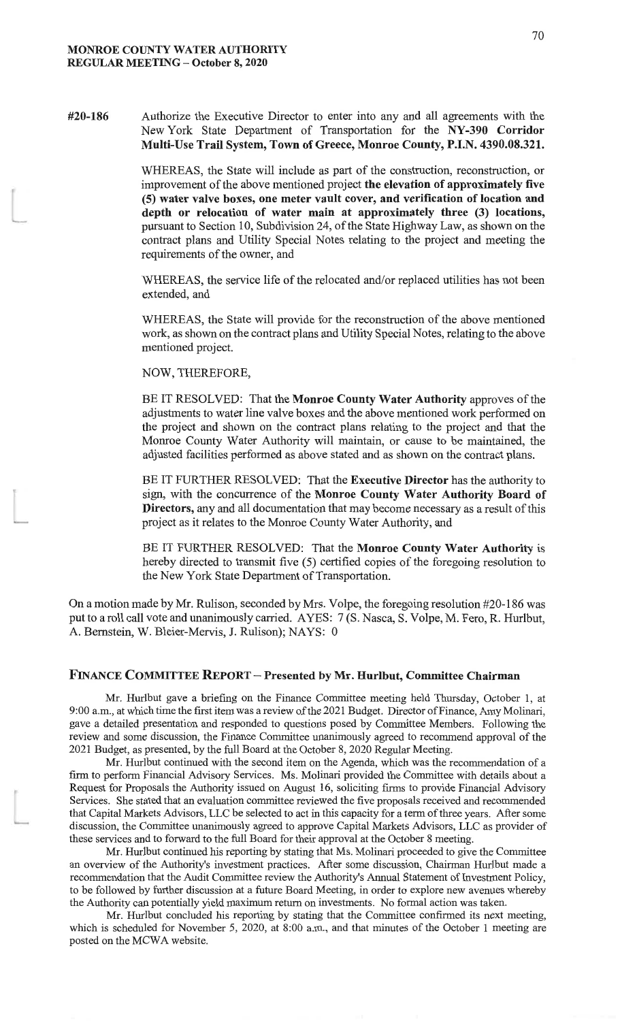#20-186 Authorize the Executive Director to enter into any and all agreements with the New York State Department of Transportation for the NY-390 Corridor Multi-Use Trail System, Town of Greece, Monroe County, P.I.N. 4390.08.321.

> WHEREAS, the State will include as part of the construction, reconstruction, or improvement of the above mentioned project the elevation of approximately five (5) water valve boxes, one meter vault cover, and verification of location and depth or relocation of water main at approximately three (3) locations, pursuant to Section 10, Subdivision 24, of the State Highway Law, as shown on the contract plans and Utility Special Notes relating to the project and meeting the requirements of the owner, and

> WHEREAS, the service life of the relocated and/or replaced utilities has not been extended, and

> WHEREAS, the State will provide for the reconstruction of the above mentioned work, as shown on the contract plans and Utility Special Notes, relating to the above mentioned project.

NOW, THEREFORE,

BE IT RESOLVED: That the Monroe County Water Authority approves of the adjustments to water line valve boxes and the above mentioned work performed on the project and shown on the contract plans relating to the project and that the Monroe County Water Authority will maintain, or cause to be maintained, the adjusted facilities performed as above stated and as shown on the contract plans.

BE IT FURTHER RESOLVED: That the Executive Director has the authority to sign, with the concurrence of the Monroe County Water Authority Board of Directors, any and all documentation that may become necessary as a result of this project as it relates to the Monroe County Water Authority, and

BE IT FURTHER RESOLVED: That the Monroe County Water Authority is hereby directed to transmit five (5) certified copies of the foregoing resolution to the New York State Department of Transportation.

On a motion made by Mr. Rulison, seconded by Mrs. Volpe, the foregoing resolution #20-186 was put to a roll call vote and unanimously carried. AYES: 7(S. Nasca, S. Volpe, M. Fero, R. Hurlbut, A. Bernstein, W. Bleier-Mervis, J. Rulison); NAYS: 0

### FINANCE COMMITTEE REPORT - Presented by Mr. Hurlbut, Committee Chairman

Mr. Hurlbut gave a briefing on the Finance Committee meeting held Thursday, October 1, at 9:00 a.m., at which time the first item was a review of the 2021 Budget. Director of Finance, Amy Molinari, gave a detailed presentation and responded to questions posed by Committee Members. Following the review and some discussion, the Finance Committee unanimously agreed to recommend approval of the 2021 Budget, as presented, by the full Board at the October 8, 2020 Regular Meeting.

Mr. Hurlbut continued with the second item on the Agenda, which was the recommendation of a firm to perform Financial Advisory Services. Ms. Molinari provided the Committee with details about a Request for Proposals the Authority issued on August 16, soliciting firms to provide Financial Advisory Services. She stated that an evaluation committee reviewed the five proposals received and recommended that Capital Markets Advisors, LLC be selected to act in this capacity for a term of three years. After some discussion, the Committee unanimously agreed to approve Capital Markets Advisors, LLC as provider of these services and to forward to the full Board for their approval at the October 8 meeting.

Mr. Hurlbut continued his reporting by stating that Ms. Molinari proceeded to give the Committee an overview of the Authority's investment practices. After some discussion, Chairman Hurlbut made a recommendation that the Audit Committee review the Authority's Annual Statement of Investment Policy, to be followed by further discussion at a future Board Meeting, in order to explore new avenues whereby the Authority can potentially yield maximum return on investments. No formal action was taken.

Mr. Hurlbut concluded his reporting by stating that the Committee confirmed its next meeting, which is scheduled for November 5, 2020, at  $8:00$  a.m., and that minutes of the October 1 meeting are posted on the MCWA website.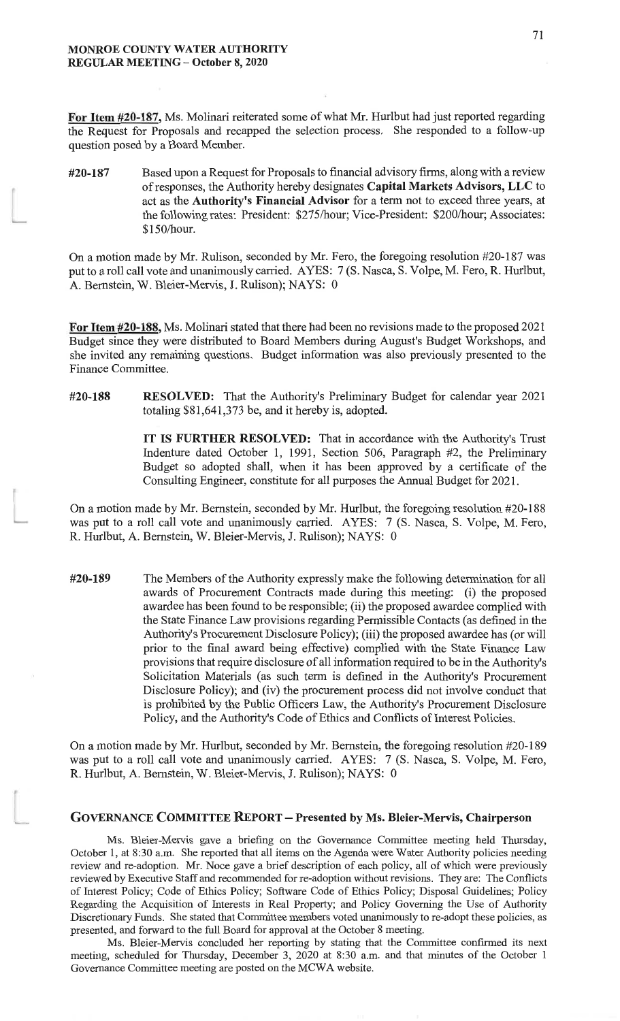For Item #20-187, Ms. Molinari reiterated some of what Mr. Hurlbut had just reported regarding the Request for Proposals and recapped the selection process. She responded to a follow-up question posed by a Board Member.

Based upon a Request for Proposals to financial advisory firms, along with a review #20-187 of responses, the Authority hereby designates Capital Markets Advisors, LLC to act as the Authority's Financial Advisor for a term not to exceed three years, at the following rates: President: \$275/hour; Vice-President: \$200/hour; Associates: \$150/hour.

On a motion made by Mr. Rulison, seconded by Mr. Fero, the foregoing resolution #20-187 was put to a roll call vote and unanimously carried. AYES: 7 (S. Nasca, S. Volpe, M. Fero, R. Hurlbut, A. Bernstein, W. Bleier-Mervis, J. Rulison); NAYS: 0

For Item #20-188, Ms. Molinari stated that there had been no revisions made to the proposed 2021 Budget since they were distributed to Board Members during August's Budget Workshops, and she invited any remaining questions. Budget information was also previously presented to the Finance Committee.

#20-188 **RESOLVED:** That the Authority's Preliminary Budget for calendar year 2021 totaling \$81,641,373 be, and it hereby is, adopted.

> IT IS FURTHER RESOLVED: That in accordance with the Authority's Trust Indenture dated October 1, 1991, Section 506, Paragraph #2, the Preliminary Budget so adopted shall, when it has been approved by a certificate of the Consulting Engineer, constitute for all purposes the Annual Budget for 2021.

On a motion made by Mr. Bernstein, seconded by Mr. Hurlbut, the foregoing resolution #20-188 was put to a roll call vote and unanimously carried. AYES: 7 (S. Nasca, S. Volpe, M. Fero, R. Hurlbut, A. Bernstein, W. Bleier-Mervis, J. Rulison); NAYS: 0

#20-189 The Members of the Authority expressly make the following determination for all awards of Procurement Contracts made during this meeting: (i) the proposed awardee has been found to be responsible; (ii) the proposed awardee complied with the State Finance Law provisions regarding Permissible Contacts (as defined in the Authority's Procurement Disclosure Policy); (iii) the proposed awardee has (or will prior to the final award being effective) complied with the State Finance Law provisions that require disclosure of all information required to be in the Authority's Solicitation Materials (as such term is defined in the Authority's Procurement Disclosure Policy); and (iv) the procurement process did not involve conduct that is prohibited by the Public Officers Law, the Authority's Procurement Disclosure Policy, and the Authority's Code of Ethics and Conflicts of Interest Policies.

On a motion made by Mr. Hurlbut, seconded by Mr. Bernstein, the foregoing resolution #20-189 was put to a roll call vote and unanimously carried. AYES: 7 (S. Nasca, S. Volpe, M. Fero, R. Hurlbut, A. Bernstein, W. Bleier-Mervis, J. Rulison); NAYS: 0

#### **GOVERNANCE COMMITTEE REPORT - Presented by Ms. Bleier-Mervis, Chairperson**

Ms. Bleier-Mervis gave a briefing on the Governance Committee meeting held Thursday, October 1, at 8:30 a.m. She reported that all items on the Agenda were Water Authority policies needing review and re-adoption. Mr. Noce gave a brief description of each policy, all of which were previously reviewed by Executive Staff and recommended for re-adoption without revisions. They are: The Conflicts of Interest Policy; Code of Ethics Policy; Software Code of Ethics Policy; Disposal Guidelines; Policy Regarding the Acquisition of Interests in Real Property; and Policy Governing the Use of Authority Discretionary Funds. She stated that Committee members voted unanimously to re-adopt these policies, as presented, and forward to the full Board for approval at the October 8 meeting.

Ms. Bleier-Mervis concluded her reporting by stating that the Committee confirmed its next meeting, scheduled for Thursday, December 3, 2020 at 8:30 a.m. and that minutes of the October 1 Governance Committee meeting are posted on the MCWA website.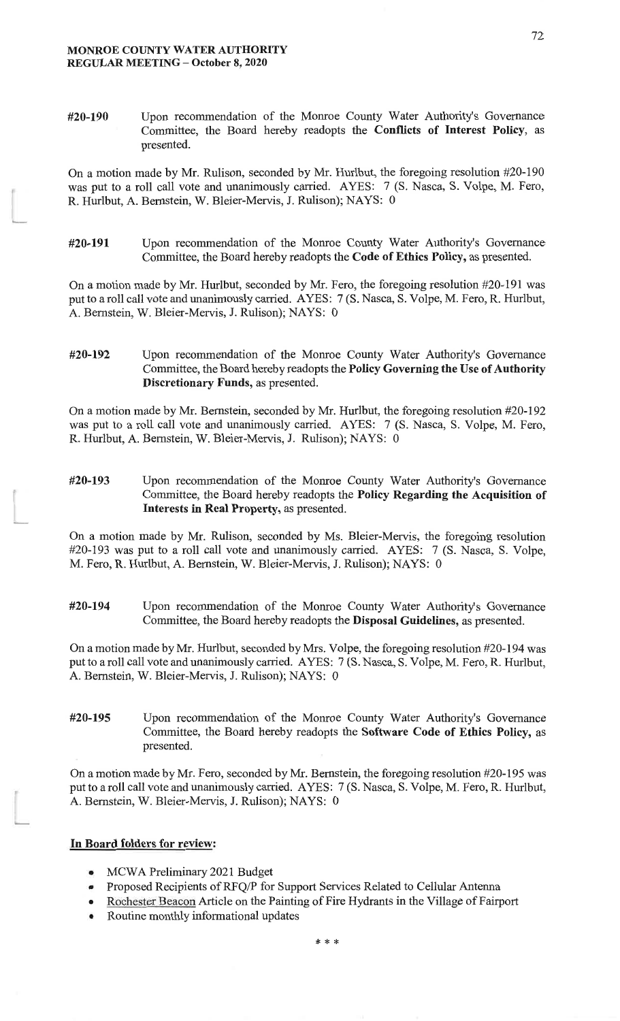#20-190 Upon recommendation of the Monroe County Water Authority's Governance Committee, the Board hereby readopts the Conflicts of Interest Policy, as presented.

On a motion made by Mr. Rulison, seconded by Mr. Hurlbut, the foregoing resolution #20-190 was put to a roll call vote and unanimously carried. AYES: 7 (S. Nasca, S. Volpe, M. Fero, R. Hurlbut, A. Bernstein, W. Bleier-Mervis, J. Rulison); NAYS: 0

Upon recommendation of the Monroe County Water Authority's Governance #20-191 Committee, the Board hereby readopts the Code of Ethics Policy, as presented.

On a motion made by Mr. Hurlbut, seconded by Mr. Fero, the foregoing resolution #20-191 was put to a roll call vote and unanimously carried. AYES: 7 (S. Nasca, S. Volpe, M. Fero, R. Hurlbut, A. Bernstein, W. Bleier-Mervis, J. Rulison); NAYS: 0

#20-192 Upon recommendation of the Monroe County Water Authority's Governance Committee, the Board hereby readopts the Policy Governing the Use of Authority Discretionary Funds, as presented.

On a motion made by Mr. Bernstein, seconded by Mr. Hurlbut, the foregoing resolution #20-192 was put to a roll call vote and unanimously carried. AYES: 7 (S. Nasca, S. Volpe, M. Fero, R. Hurlbut, A. Bernstein, W. Bleier-Mervis, J. Rulison); NAYS: 0

Upon recommendation of the Monroe County Water Authority's Governance #20-193 Committee, the Board hereby readopts the Policy Regarding the Acquisition of Interests in Real Property, as presented.

On a motion made by Mr. Rulison, seconded by Ms. Bleier-Mervis, the foregoing resolution #20-193 was put to a roll call vote and unanimously carried. AYES: 7 (S. Nasca, S. Volpe, M. Fero, R. Hurlbut, A. Bernstein, W. Bleier-Mervis, J. Rulison); NAYS: 0

#20-194 Upon recommendation of the Monroe County Water Authority's Governance Committee, the Board hereby readopts the Disposal Guidelines, as presented.

On a motion made by Mr. Hurlbut, seconded by Mrs. Volpe, the foregoing resolution #20-194 was put to a roll call vote and unanimously carried. AYES: 7 (S. Nasca, S. Volpe, M. Fero, R. Hurlbut, A. Bernstein, W. Bleier-Mervis, J. Rulison); NAYS: 0

Upon recommendation of the Monroe County Water Authority's Governance #20-195 Committee, the Board hereby readopts the Software Code of Ethics Policy, as presented.

On a motion made by Mr. Fero, seconded by Mr. Bernstein, the foregoing resolution #20-195 was put to a roll call vote and unanimously carried. AYES: 7(S. Nasca, S. Volpe, M. Fero, R. Hurlbut, A. Bernstein, W. Bleier-Mervis, J. Rulison); NAYS: 0

#### In Board folders for review:

- MCWA Preliminary 2021 Budget
- Proposed Recipients of RFQ/P for Support Services Related to Cellular Antenna
- Rochester Beacon Article on the Painting of Fire Hydrants in the Village of Fairport
- Routine monthly informational updates

72

\* \* \*